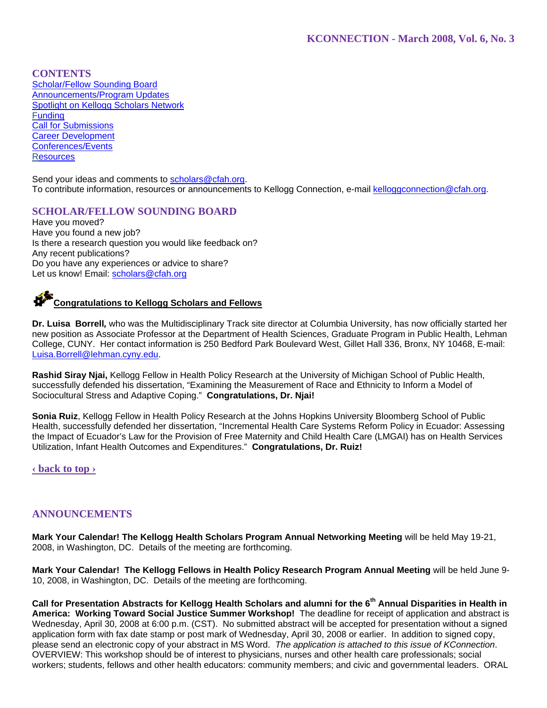## **CONTENTS**

Scholar/Fellow Sounding Board Announcements/Program Updates Spotlight on Kellogg Scholars Network **Funding** Call for Submissions Career Development Conferences/Events **Resources** 

Send your ideas and comments to scholars@cfah.org. To contribute information, resources or announcements to Kellogg Connection, e-mail kelloggconnection@cfah.org.

## **SCHOLAR/FELLOW SOUNDING BOARD**

Have you moved? Have you found a new job? Is there a research question you would like feedback on? Any recent publications? Do you have any experiences or advice to share? Let us know! Email: scholars@cfah.org

# **Congratulations to Kellogg Scholars and Fellows**

**Dr. Luisa Borrell***,* who was the Multidisciplinary Track site director at Columbia University, has now officially started her new position as Associate Professor at the Department of Health Sciences, Graduate Program in Public Health, Lehman College, CUNY. Her contact information is 250 Bedford Park Boulevard West, Gillet Hall 336, Bronx, NY 10468, E-mail: Luisa.Borrell@lehman.cyny.edu.

**Rashid Siray Njai,** Kellogg Fellow in Health Policy Research at the University of Michigan School of Public Health, successfully defended his dissertation, "Examining the Measurement of Race and Ethnicity to Inform a Model of Sociocultural Stress and Adaptive Coping." **Congratulations, Dr. Njai!** 

**Sonia Ruiz**, Kellogg Fellow in Health Policy Research at the Johns Hopkins University Bloomberg School of Public Health, successfully defended her dissertation, "Incremental Health Care Systems Reform Policy in Ecuador: Assessing the Impact of Ecuador's Law for the Provision of Free Maternity and Child Health Care (LMGAI) has on Health Services Utilization, Infant Health Outcomes and Expenditures." **Congratulations, Dr. Ruiz!** 

**‹ back to top ›**

## **ANNOUNCEMENTS**

**Mark Your Calendar! The Kellogg Health Scholars Program Annual Networking Meeting** will be held May 19-21, 2008, in Washington, DC. Details of the meeting are forthcoming.

**Mark Your Calendar! The Kellogg Fellows in Health Policy Research Program Annual Meeting** will be held June 9- 10, 2008, in Washington, DC. Details of the meeting are forthcoming.

Call for Presentation Abstracts for Kellogg Health Scholars and alumni for the 6<sup>th</sup> Annual Disparities in Health in **America: Working Toward Social Justice Summer Workshop!** The deadline for receipt of application and abstract is Wednesday, April 30, 2008 at 6:00 p.m. (CST). No submitted abstract will be accepted for presentation without a signed application form with fax date stamp or post mark of Wednesday, April 30, 2008 or earlier. In addition to signed copy, please send an electronic copy of your abstract in MS Word. *The application is attached to this issue of KConnection*. OVERVIEW: This workshop should be of interest to physicians, nurses and other health care professionals; social workers; students, fellows and other health educators: community members; and civic and governmental leaders. ORAL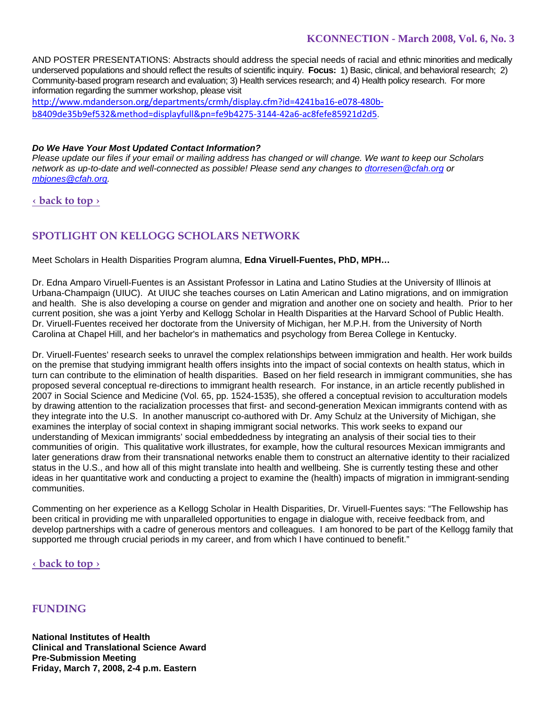AND POSTER PRESENTATIONS: Abstracts should address the special needs of racial and ethnic minorities and medically underserved populations and should reflect the results of scientific inquiry. **Focus:** 1) Basic, clinical, and behavioral research; 2) Community-based program research and evaluation; 3) Health services research; and 4) Health policy research. For more information regarding the summer workshop, please visit

http://www.mdanderson.org/departments/crmh/display.cfm?id=4241ba16‐e078‐480b‐ b8409de35b9ef532&method=displayfull&pn=fe9b4275‐3144‐42a6‐ac8fefe85921d2d5.

### *Do We Have Your Most Updated Contact Information?*

*Please update our files if your email or mailing address has changed or will change. We want to keep our Scholars network as up-to-date and well-connected as possible! Please send any changes to dtorresen@cfah.org or mbjones@cfah.org.* 

**‹ back to top ›**

# **SPOTLIGHT ON KELLOGG SCHOLARS NETWORK**

Meet Scholars in Health Disparities Program alumna, **Edna Viruell-Fuentes, PhD, MPH…**

Dr. Edna Amparo Viruell-Fuentes is an Assistant Professor in Latina and Latino Studies at the University of Illinois at Urbana-Champaign (UIUC). At UIUC she teaches courses on Latin American and Latino migrations, and on immigration and health. She is also developing a course on gender and migration and another one on society and health. Prior to her current position, she was a joint Yerby and Kellogg Scholar in Health Disparities at the Harvard School of Public Health. Dr. Viruell-Fuentes received her doctorate from the University of Michigan, her M.P.H. from the University of North Carolina at Chapel Hill, and her bachelor's in mathematics and psychology from Berea College in Kentucky.

Dr. Viruell-Fuentes' research seeks to unravel the complex relationships between immigration and health. Her work builds on the premise that studying immigrant health offers insights into the impact of social contexts on health status, which in turn can contribute to the elimination of health disparities. Based on her field research in immigrant communities, she has proposed several conceptual re-directions to immigrant health research. For instance, in an article recently published in 2007 in Social Science and Medicine (Vol. 65, pp. 1524-1535), she offered a conceptual revision to acculturation models by drawing attention to the racialization processes that first- and second-generation Mexican immigrants contend with as they integrate into the U.S. In another manuscript co-authored with Dr. Amy Schulz at the University of Michigan, she examines the interplay of social context in shaping immigrant social networks. This work seeks to expand our understanding of Mexican immigrants' social embeddedness by integrating an analysis of their social ties to their communities of origin. This qualitative work illustrates, for example, how the cultural resources Mexican immigrants and later generations draw from their transnational networks enable them to construct an alternative identity to their racialized status in the U.S., and how all of this might translate into health and wellbeing. She is currently testing these and other ideas in her quantitative work and conducting a project to examine the (health) impacts of migration in immigrant-sending communities.

Commenting on her experience as a Kellogg Scholar in Health Disparities, Dr. Viruell-Fuentes says: "The Fellowship has been critical in providing me with unparalleled opportunities to engage in dialogue with, receive feedback from, and develop partnerships with a cadre of generous mentors and colleagues. I am honored to be part of the Kellogg family that supported me through crucial periods in my career, and from which I have continued to benefit."

**‹ back to top ›**

## **FUNDING**

**National Institutes of Health Clinical and Translational Science Award Pre-Submission Meeting Friday, March 7, 2008, 2-4 p.m. Eastern**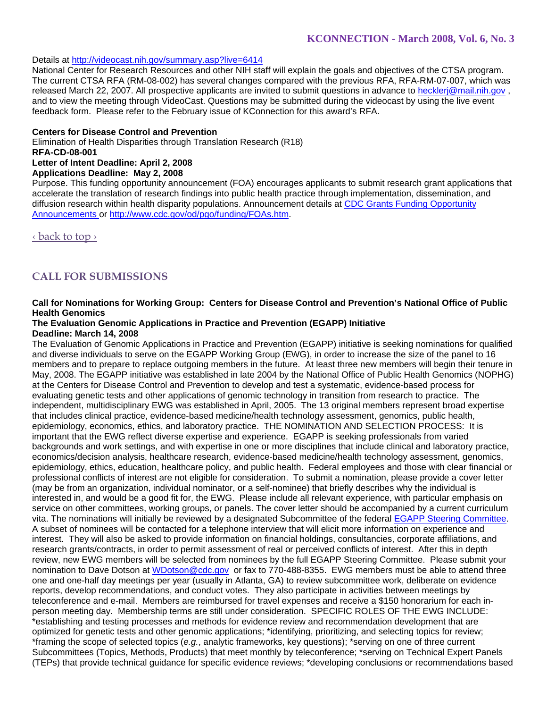## Details at http://videocast.nih.gov/summary.asp?live=6414

National Center for Research Resources and other NIH staff will explain the goals and objectives of the CTSA program. The current CTSA RFA (RM-08-002) has several changes compared with the previous RFA, RFA-RM-07-007, which was released March 22, 2007. All prospective applicants are invited to submit questions in advance to hecklerj@mail.nih.gov, and to view the meeting through VideoCast. Questions may be submitted during the videocast by using the live event feedback form. Please refer to the February issue of KConnection for this award's RFA.

#### **Centers for Disease Control and Prevention**

Elimination of Health Disparities through Translation Research (R18) **RFA-CD-08-001 Letter of Intent Deadline: April 2, 2008 Applications Deadline: May 2, 2008** 

Purpose. This funding opportunity announcement (FOA) encourages applicants to submit research grant applications that accelerate the translation of research findings into public health practice through implementation, dissemination, and diffusion research within health disparity populations. Announcement details at CDC Grants Funding Opportunity Announcements or http://www.cdc.gov/od/pgo/funding/FOAs.htm.

‹ back to top ›

# **CALL FOR SUBMISSIONS**

## **Call for Nominations for Working Group: Centers for Disease Control and Prevention's National Office of Public Health Genomics**

#### **The Evaluation Genomic Applications in Practice and Prevention (EGAPP) Initiative Deadline: March 14, 2008**

The Evaluation of Genomic Applications in Practice and Prevention (EGAPP) initiative is seeking nominations for qualified and diverse individuals to serve on the EGAPP Working Group (EWG), in order to increase the size of the panel to 16 members and to prepare to replace outgoing members in the future. At least three new members will begin their tenure in May, 2008. The EGAPP initiative was established in late 2004 by the National Office of Public Health Genomics (NOPHG) at the Centers for Disease Control and Prevention to develop and test a systematic, evidence-based process for evaluating genetic tests and other applications of genomic technology in transition from research to practice. The independent, multidisciplinary EWG was established in April, 2005. The 13 original members represent broad expertise that includes clinical practice, evidence-based medicine/health technology assessment, genomics, public health, epidemiology, economics, ethics, and laboratory practice. THE NOMINATION AND SELECTION PROCESS: It is important that the EWG reflect diverse expertise and experience. EGAPP is seeking professionals from varied backgrounds and work settings, and with expertise in one or more disciplines that include clinical and laboratory practice, economics/decision analysis, healthcare research, evidence-based medicine/health technology assessment, genomics, epidemiology, ethics, education, healthcare policy, and public health. Federal employees and those with clear financial or professional conflicts of interest are not eligible for consideration. To submit a nomination, please provide a cover letter (may be from an organization, individual nominator, or a self-nominee) that briefly describes why the individual is interested in, and would be a good fit for, the EWG. Please include all relevant experience, with particular emphasis on service on other committees, working groups, or panels. The cover letter should be accompanied by a current curriculum vita. The nominations will initially be reviewed by a designated Subcommittee of the federal EGAPP Steering Committee. A subset of nominees will be contacted for a telephone interview that will elicit more information on experience and interest. They will also be asked to provide information on financial holdings, consultancies, corporate affiliations, and research grants/contracts, in order to permit assessment of real or perceived conflicts of interest. After this in depth review, new EWG members will be selected from nominees by the full EGAPP Steering Committee. Please submit your nomination to Dave Dotson at WDotson@cdc.gov or fax to 770-488-8355. EWG members must be able to attend three one and one-half day meetings per year (usually in Atlanta, GA) to review subcommittee work, deliberate on evidence reports, develop recommendations, and conduct votes. They also participate in activities between meetings by teleconference and e-mail. Members are reimbursed for travel expenses and receive a \$150 honorarium for each inperson meeting day. Membership terms are still under consideration. SPECIFIC ROLES OF THE EWG INCLUDE: \*establishing and testing processes and methods for evidence review and recommendation development that are optimized for genetic tests and other genomic applications; \*identifying, prioritizing, and selecting topics for review; \*framing the scope of selected topics (*e.g.*, analytic frameworks, key questions); \*serving on one of three current Subcommittees (Topics, Methods, Products) that meet monthly by teleconference; \*serving on Technical Expert Panels (TEPs) that provide technical guidance for specific evidence reviews; \*developing conclusions or recommendations based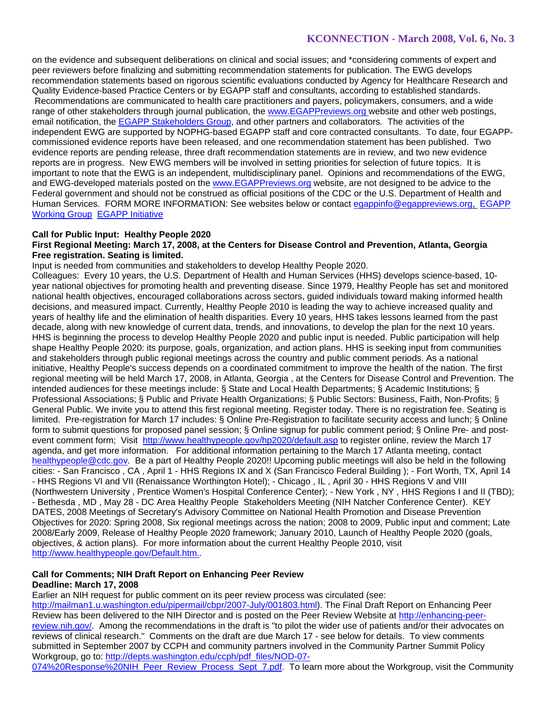on the evidence and subsequent deliberations on clinical and social issues; and \*considering comments of expert and peer reviewers before finalizing and submitting recommendation statements for publication. The EWG develops recommendation statements based on rigorous scientific evaluations conducted by Agency for Healthcare Research and Quality Evidence-based Practice Centers or by EGAPP staff and consultants, according to established standards. Recommendations are communicated to health care practitioners and payers, policymakers, consumers, and a wide range of other stakeholders through journal publication, the www.EGAPPreviews.org website and other web postings, email notification, the EGAPP Stakeholders Group, and other partners and collaborators*.* The activities of the independent EWG are supported by NOPHG-based EGAPP staff and core contracted consultants. To date, four EGAPPcommissioned evidence reports have been released, and one recommendation statement has been published. Two evidence reports are pending release, three draft recommendation statements are in review, and two new evidence reports are in progress. New EWG members will be involved in setting priorities for selection of future topics. It is important to note that the EWG is an independent, multidisciplinary panel. Opinions and recommendations of the EWG, and EWG-developed materials posted on the www.EGAPPreviews.org website, are not designed to be advice to the Federal government and should not be construed as official positions of the CDC or the U.S. Department of Health and Human Services. FORM MORE INFORMATION: See websites below or contact egappinfo@egappreviews.org, EGAPP Working Group EGAPP Initiative

#### **Call for Public Input: Healthy People 2020**

### **First Regional Meeting: March 17, 2008, at the Centers for Disease Control and Prevention, Atlanta, Georgia Free registration. Seating is limited.**

Input is needed from communities and stakeholders to develop Healthy People 2020.

Colleagues: Every 10 years, the U.S. Department of Health and Human Services (HHS) develops science-based, 10 year national objectives for promoting health and preventing disease. Since 1979, Healthy People has set and monitored national health objectives, encouraged collaborations across sectors, guided individuals toward making informed health decisions, and measured impact. Currently, Healthy People 2010 is leading the way to achieve increased quality and years of healthy life and the elimination of health disparities. Every 10 years, HHS takes lessons learned from the past decade, along with new knowledge of current data, trends, and innovations, to develop the plan for the next 10 years. HHS is beginning the process to develop Healthy People 2020 and public input is needed. Public participation will help shape Healthy People 2020: its purpose, goals, organization, and action plans. HHS is seeking input from communities and stakeholders through public regional meetings across the country and public comment periods. As a national initiative, Healthy People's success depends on a coordinated commitment to improve the health of the nation. The first regional meeting will be held March 17, 2008, in Atlanta, Georgia , at the Centers for Disease Control and Prevention. The intended audiences for these meetings include: § State and Local Health Departments; § Academic Institutions; § Professional Associations; § Public and Private Health Organizations; § Public Sectors: Business, Faith, Non-Profits; § General Public. We invite you to attend this first regional meeting. Register today. There is no registration fee. Seating is limited. Pre-registration for March 17 includes: § Online Pre-Registration to facilitate security access and lunch; § Online form to submit questions for proposed panel session; § Online signup for public comment period; § Online Pre- and postevent comment form; Visit http://www.healthypeople.gov/hp2020/default.asp to register online, review the March 17 agenda, and get more information. For additional information pertaining to the March 17 Atlanta meeting, contact healthypeople@cdc.gov. Be a part of Healthy People 2020!! Upcoming public meetings will also be held in the following cities: - San Francisco , CA , April 1 - HHS Regions IX and X (San Francisco Federal Building ); - Fort Worth, TX, April 14 - HHS Regions VI and VII (Renaissance Worthington Hotel); - Chicago , IL , April 30 - HHS Regions V and VIII (Northwestern University , Prentice Women's Hospital Conference Center); - New York , NY , HHS Regions I and II (TBD); - Bethesda , MD , May 28 - DC Area Healthy People Stakeholders Meeting (NIH Natcher Conference Center). KEY DATES, 2008 Meetings of Secretary's Advisory Committee on National Health Promotion and Disease Prevention Objectives for 2020: Spring 2008, Six regional meetings across the nation; 2008 to 2009, Public input and comment; Late 2008/Early 2009, Release of Healthy People 2020 framework; January 2010, Launch of Healthy People 2020 (goals, objectives, & action plans). For more information about the current Healthy People 2010, visit http://www.healthypeople.gov/Default.htm..

# **Call for Comments; NIH Draft Report on Enhancing Peer Review**

## **Deadline: March 17, 2008**

Earlier an NIH request for public comment on its peer review process was circulated (see: http://mailman1.u.washington.edu/pipermail/cbpr/2007-July/001803.html). The Final Draft Report on Enhancing Peer Review has been delivered to the NIH Director and is posted on the Peer Review Website at http://enhancing-peerreview.nih.gov/. Among the recommendations in the draft is "to pilot the wider use of patients and/or their advocates on reviews of clinical research." Comments on the draft are due March 17 - see below for details. To view comments submitted in September 2007 by CCPH and community partners involved in the Community Partner Summit Policy Workgroup, go to: http://depts.washington.edu/ccph/pdf\_files/NOD-07-

074%20Response%20NIH\_Peer\_Review\_Process\_Sept\_7.pdf. To learn more about the Workgroup, visit the Community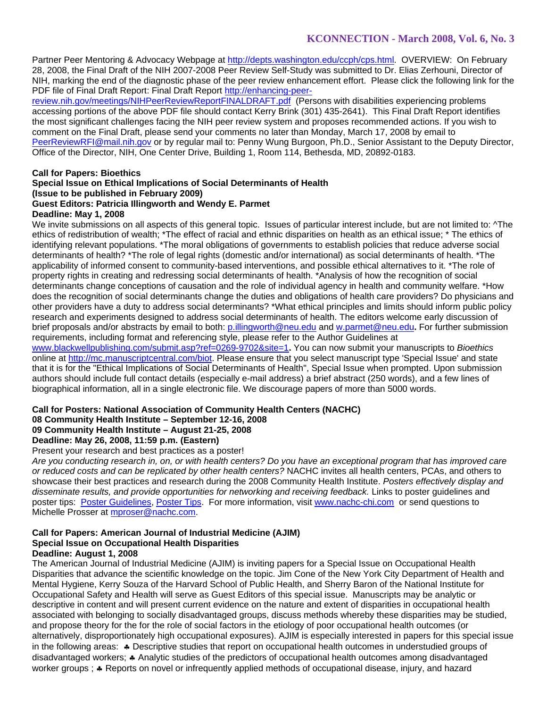Partner Peer Mentoring & Advocacy Webpage at http://depts.washington.edu/ccph/cps.html. OVERVIEW: On February 28, 2008, the Final Draft of the NIH 2007-2008 Peer Review Self-Study was submitted to Dr. Elias Zerhouni, Director of NIH, marking the end of the diagnostic phase of the peer review enhancement effort. Please click the following link for the PDF file of Final Draft Report: Final Draft Report http://enhancing-peer-

review.nih.gov/meetings/NIHPeerReviewReportFINALDRAFT.pdf (Persons with disabilities experiencing problems accessing portions of the above PDF file should contact Kerry Brink (301) 435-2641). This Final Draft Report identifies the most significant challenges facing the NIH peer review system and proposes recommended actions. If you wish to comment on the Final Draft, please send your comments no later than Monday, March 17, 2008 by email to PeerReviewRFI@mail.nih.gov or by regular mail to: Penny Wung Burgoon, Ph.D., Senior Assistant to the Deputy Director, Office of the Director, NIH, One Center Drive, Building 1, Room 114, Bethesda, MD, 20892-0183.

### **Call for Papers: Bioethics**

#### **Special Issue on Ethical Implications of Social Determinants of Health (Issue to be published in February 2009) Guest Editors: Patricia Illingworth and Wendy E. Parmet Deadline: May 1, 2008**

We invite submissions on all aspects of this general topic. Issues of particular interest include, but are not limited to:  $\Delta$ The ethics of redistribution of wealth; \*The effect of racial and ethnic disparities on health as an ethical issue; \* The ethics of identifying relevant populations. \*The moral obligations of governments to establish policies that reduce adverse social determinants of health? \*The role of legal rights (domestic and/or international) as social determinants of health. \*The applicability of informed consent to community-based interventions, and possible ethical alternatives to it. \*The role of property rights in creating and redressing social determinants of health. \*Analysis of how the recognition of social determinants change conceptions of causation and the role of individual agency in health and community welfare. \*How does the recognition of social determinants change the duties and obligations of health care providers? Do physicians and other providers have a duty to address social determinants? \*What ethical principles and limits should inform public policy research and experiments designed to address social determinants of health. The editors welcome early discussion of brief proposals and/or abstracts by email to both: p.illingworth@neu.edu and w.parmet@neu.edu**.** For further submission requirements, including format and referencing style, please refer to the Author Guidelines at www.blackwellpublishing.com/submit.asp?ref=0269-9702&site=1**.** You can now submit your manuscripts to *Bioethics* online at http://mc.manuscriptcentral.com/biot. Please ensure that you select manuscript type 'Special Issue' and state that it is for the "Ethical Implications of Social Determinants of Health", Special Issue when prompted. Upon submission authors should include full contact details (especially e-mail address) a brief abstract (250 words), and a few lines of

biographical information, all in a single electronic file. We discourage papers of more than 5000 words.

# **Call for Posters: National Association of Community Health Centers (NACHC)**

## **08 Community Health Institute – September 12-16, 2008**

# **09 Community Health Institute – August 21-25, 2008**

# **Deadline: May 26, 2008, 11:59 p.m. (Eastern)**

Present your research and best practices as a poster!

*Are you conducting research in, on, or with health centers? Do you have an exceptional program that has improved care or reduced costs and can be replicated by other health centers?* NACHC invites all health centers, PCAs, and others to showcase their best practices and research during the 2008 Community Health Institute. *Posters effectively display and disseminate results, and provide opportunities for networking and receiving feedback.* Links to poster guidelines and poster tips: Poster Guidelines, Poster Tips.For more information, visit www.nachc-chi.com or send questions to Michelle Prosser at mproser@nachc.com.

#### **Call for Papers: American Journal of Industrial Medicine (AJIM) Special Issue on Occupational Health Disparities Deadline: August 1, 2008**

The American Journal of Industrial Medicine (AJIM) is inviting papers for a Special Issue on Occupational Health Disparities that advance the scientific knowledge on the topic. Jim Cone of the New York City Department of Health and Mental Hygiene, Kerry Souza of the Harvard School of Public Health, and Sherry Baron of the National Institute for Occupational Safety and Health will serve as Guest Editors of this special issue. Manuscripts may be analytic or descriptive in content and will present current evidence on the nature and extent of disparities in occupational health associated with belonging to socially disadvantaged groups, discuss methods whereby these disparities may be studied, and propose theory for the for the role of social factors in the etiology of poor occupational health outcomes (or alternatively, disproportionately high occupational exposures). AJIM is especially interested in papers for this special issue in the following areas: ♣ Descriptive studies that report on occupational health outcomes in understudied groups of disadvantaged workers; ♣ Analytic studies of the predictors of occupational health outcomes among disadvantaged worker groups ; ♣ Reports on novel or infrequently applied methods of occupational disease, injury, and hazard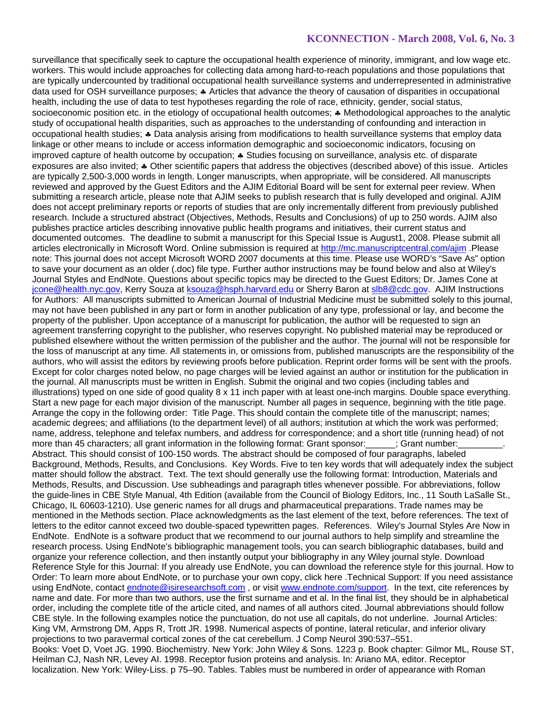surveillance that specifically seek to capture the occupational health experience of minority, immigrant, and low wage etc. workers. This would include approaches for collecting data among hard-to-reach populations and those populations that are typically undercounted by traditional occupational health surveillance systems and underrepresented in administrative data used for OSH surveillance purposes; ♣ Articles that advance the theory of causation of disparities in occupational health, including the use of data to test hypotheses regarding the role of race, ethnicity, gender, social status, socioeconomic position etc. in the etiology of occupational health outcomes; ♣ Methodological approaches to the analytic study of occupational health disparities, such as approaches to the understanding of confounding and interaction in occupational health studies; ♣ Data analysis arising from modifications to health surveillance systems that employ data linkage or other means to include or access information demographic and socioeconomic indicators, focusing on improved capture of health outcome by occupation; ♣ Studies focusing on surveillance, analysis etc. of disparate exposures are also invited; ♣ Other scientific papers that address the objectives (described above) of this issue. Articles are typically 2,500-3,000 words in length. Longer manuscripts, when appropriate, will be considered. All manuscripts reviewed and approved by the Guest Editors and the AJIM Editorial Board will be sent for external peer review. When submitting a research article, please note that AJIM seeks to publish research that is fully developed and original. AJIM does not accept preliminary reports or reports of studies that are only incrementally different from previously published research. Include a structured abstract (Objectives, Methods, Results and Conclusions) of up to 250 words. AJIM also publishes practice articles describing innovative public health programs and initiatives, their current status and documented outcomes. The deadline to submit a manuscript for this Special Issue is August1, 2008. Please submit all articles electronically in Microsoft Word. Online submission is required at http://mc.manuscriptcentral.com/ajim .Please note: This journal does not accept Microsoft WORD 2007 documents at this time. Please use WORD's "Save As" option to save your document as an older (.doc) file type. Further author instructions may be found below and also at Wiley's Journal Styles and EndNote. Questions about specific topics may be directed to the Guest Editors; Dr. James Cone at jcone@health.nyc.gov, Kerry Souza at ksouza@hsph.harvard.edu or Sherry Baron at slb8@cdc.gov. AJIM Instructions for Authors: All manuscripts submitted to American Journal of Industrial Medicine must be submitted solely to this journal, may not have been published in any part or form in another publication of any type, professional or lay, and become the property of the publisher. Upon acceptance of a manuscript for publication, the author will be requested to sign an agreement transferring copyright to the publisher, who reserves copyright. No published material may be reproduced or published elsewhere without the written permission of the publisher and the author. The journal will not be responsible for the loss of manuscript at any time. All statements in, or omissions from, published manuscripts are the responsibility of the authors, who will assist the editors by reviewing proofs before publication. Reprint order forms will be sent with the proofs. Except for color charges noted below, no page charges will be levied against an author or institution for the publication in the journal. All manuscripts must be written in English. Submit the original and two copies (including tables and illustrations) typed on one side of good quality 8 x 11 inch paper with at least one-inch margins. Double space everything. Start a new page for each major division of the manuscript. Number all pages in sequence, beginning with the title page. Arrange the copy in the following order: Title Page. This should contain the complete title of the manuscript; names; academic degrees; and affiliations (to the department level) of all authors; institution at which the work was performed; name, address, telephone and telefax numbers, and address for correspondence; and a short title (running head) of not more than 45 characters; all grant information in the following format: Grant sponsor: <br>Grant number: Abstract. This should consist of 100-150 words. The abstract should be composed of four paragraphs, labeled Background, Methods, Results, and Conclusions. Key Words. Five to ten key words that will adequately index the subject matter should follow the abstract. Text. The text should generally use the following format: Introduction, Materials and Methods, Results, and Discussion. Use subheadings and paragraph titles whenever possible. For abbreviations, follow the guide-lines in CBE Style Manual, 4th Edition (available from the Council of Biology Editors, Inc., 11 South LaSalle St., Chicago, IL 60603-1210). Use generic names for all drugs and pharmaceutical preparations. Trade names may be mentioned in the Methods section. Place acknowledgments as the last element of the text, before references. The text of letters to the editor cannot exceed two double-spaced typewritten pages. References. Wiley's Journal Styles Are Now in EndNote. EndNote is a software product that we recommend to our journal authors to help simplify and streamline the research process. Using EndNote's bibliographic management tools, you can search bibliographic databases, build and organize your reference collection, and then instantly output your bibliography in any Wiley journal style. Download Reference Style for this Journal: If you already use EndNote, you can download the reference style for this journal. How to Order: To learn more about EndNote, or to purchase your own copy, click here .Technical Support: If you need assistance using EndNote, contact endnote@isiresearchsoft.com , or visit www.endnote.com/support. In the text, cite references by name and date. For more than two authors, use the first surname and et al. In the final list, they should be in alphabetical order, including the complete title of the article cited, and names of all authors cited. Journal abbreviations should follow CBE style. In the following examples notice the punctuation, do not use all capitals, do not underline. Journal Articles: King VM, Armstrong DM, Apps R, Trott JR. 1998. Numerical aspects of pontine, lateral reticular, and inferior olivary projections to two paravermal cortical zones of the cat cerebellum. J Comp Neurol 390:537–551. Books: Voet D, Voet JG. 1990. Biochemistry. New York: John Wiley & Sons. 1223 p. Book chapter: Gilmor ML, Rouse ST, Heilman CJ, Nash NR, Levey AI. 1998. Receptor fusion proteins and analysis. In: Ariano MA, editor. Receptor localization. New York: Wiley-Liss. p 75–90. Tables. Tables must be numbered in order of appearance with Roman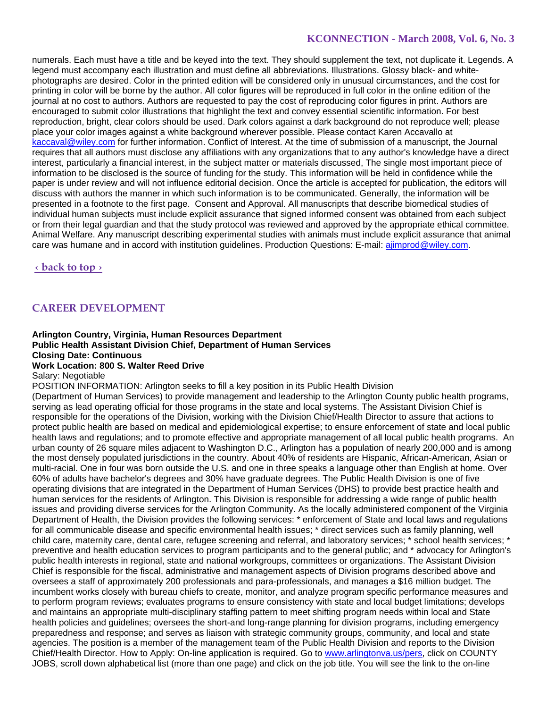numerals. Each must have a title and be keyed into the text. They should supplement the text, not duplicate it. Legends. A legend must accompany each illustration and must define all abbreviations. Illustrations. Glossy black- and whitephotographs are desired. Color in the printed edition will be considered only in unusual circumstances, and the cost for printing in color will be borne by the author. All color figures will be reproduced in full color in the online edition of the journal at no cost to authors. Authors are requested to pay the cost of reproducing color figures in print. Authors are encouraged to submit color illustrations that highlight the text and convey essential scientific information. For best reproduction, bright, clear colors should be used. Dark colors against a dark background do not reproduce well; please place your color images against a white background wherever possible. Please contact Karen Accavallo at kaccaval@wiley.com for further information. Conflict of Interest. At the time of submission of a manuscript, the Journal requires that all authors must disclose any affiliations with any organizations that to any author's knowledge have a direct interest, particularly a financial interest, in the subject matter or materials discussed, The single most important piece of information to be disclosed is the source of funding for the study. This information will be held in confidence while the paper is under review and will not influence editorial decision. Once the article is accepted for publication, the editors will discuss with authors the manner in which such information is to be communicated. Generally, the information will be presented in a footnote to the first page. Consent and Approval. All manuscripts that describe biomedical studies of individual human subjects must include explicit assurance that signed informed consent was obtained from each subject or from their legal guardian and that the study protocol was reviewed and approved by the appropriate ethical committee. Animal Welfare. Any manuscript describing experimental studies with animals must include explicit assurance that animal care was humane and in accord with institution guidelines. Production Questions: E-mail: ajimprod@wiley.com.

**‹ back to top ›**

## **CAREER DEVELOPMENT**

## **Arlington Country, Virginia, Human Resources Department Public Health Assistant Division Chief, Department of Human Services Closing Date: Continuous Work Location: 800 S. Walter Reed Drive**

Salary: Negotiable

POSITION INFORMATION: Arlington seeks to fill a key position in its Public Health Division

(Department of Human Services) to provide management and leadership to the Arlington County public health programs, serving as lead operating official for those programs in the state and local systems. The Assistant Division Chief is responsible for the operations of the Division, working with the Division Chief/Health Director to assure that actions to protect public health are based on medical and epidemiological expertise; to ensure enforcement of state and local public health laws and regulations; and to promote effective and appropriate management of all local public health programs. An urban county of 26 square miles adjacent to Washington D.C., Arlington has a population of nearly 200,000 and is among the most densely populated jurisdictions in the country. About 40% of residents are Hispanic, African-American, Asian or multi-racial. One in four was born outside the U.S. and one in three speaks a language other than English at home. Over 60% of adults have bachelor's degrees and 30% have graduate degrees. The Public Health Division is one of five operating divisions that are integrated in the Department of Human Services (DHS) to provide best practice health and human services for the residents of Arlington. This Division is responsible for addressing a wide range of public health issues and providing diverse services for the Arlington Community. As the locally administered component of the Virginia Department of Health, the Division provides the following services: \* enforcement of State and local laws and regulations for all communicable disease and specific environmental health issues; \* direct services such as family planning, well child care, maternity care, dental care, refugee screening and referral, and laboratory services; \* school health services; \* preventive and health education services to program participants and to the general public; and \* advocacy for Arlington's public health interests in regional, state and national workgroups, committees or organizations. The Assistant Division Chief is responsible for the fiscal, administrative and management aspects of Division programs described above and oversees a staff of approximately 200 professionals and para-professionals, and manages a \$16 million budget. The incumbent works closely with bureau chiefs to create, monitor, and analyze program specific performance measures and to perform program reviews; evaluates programs to ensure consistency with state and local budget limitations; develops and maintains an appropriate multi-disciplinary staffing pattern to meet shifting program needs within local and State health policies and guidelines; oversees the short-and long-range planning for division programs, including emergency preparedness and response; and serves as liaison with strategic community groups, community, and local and state agencies. The position is a member of the management team of the Public Health Division and reports to the Division Chief/Health Director. How to Apply: On-line application is required. Go to www.arlingtonva.us/pers, click on COUNTY JOBS, scroll down alphabetical list (more than one page) and click on the job title. You will see the link to the on-line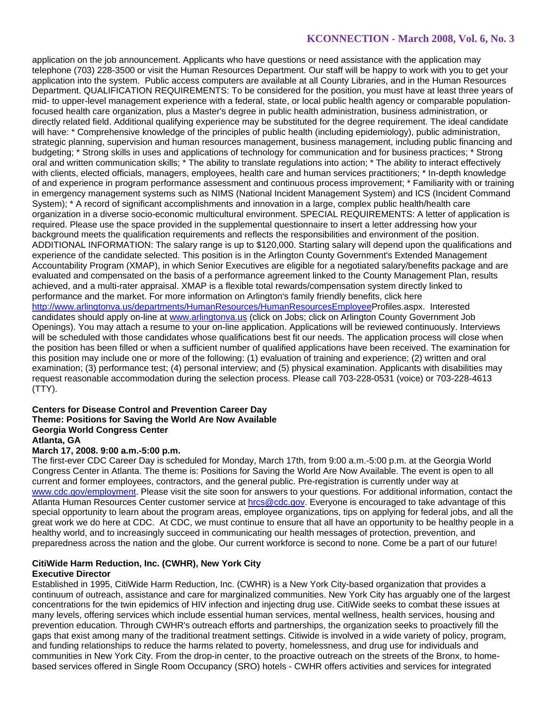application on the job announcement. Applicants who have questions or need assistance with the application may telephone (703) 228-3500 or visit the Human Resources Department. Our staff will be happy to work with you to get your application into the system. Public access computers are available at all County Libraries, and in the Human Resources Department. QUALIFICATION REQUIREMENTS: To be considered for the position, you must have at least three years of mid- to upper-level management experience with a federal, state, or local public health agency or comparable populationfocused health care organization, plus a Master's degree in public health administration, business administration, or directly related field. Additional qualifying experience may be substituted for the degree requirement. The ideal candidate will have: \* Comprehensive knowledge of the principles of public health (including epidemiology), public administration, strategic planning, supervision and human resources management, business management, including public financing and budgeting; \* Strong skills in uses and applications of technology for communication and for business practices; \* Strong oral and written communication skills; \* The ability to translate regulations into action; \* The ability to interact effectively with clients, elected officials, managers, employees, health care and human services practitioners; \* In-depth knowledge of and experience in program performance assessment and continuous process improvement; \* Familiarity with or training in emergency management systems such as NIMS (National Incident Management System) and ICS (Incident Command System); \* A record of significant accomplishments and innovation in a large, complex public health/health care organization in a diverse socio-economic multicultural environment. SPECIAL REQUIREMENTS: A letter of application is required. Please use the space provided in the supplemental questionnaire to insert a letter addressing how your background meets the qualification requirements and reflects the responsibilities and environment of the position. ADDITIONAL INFORMATION: The salary range is up to \$120,000. Starting salary will depend upon the qualifications and experience of the candidate selected. This position is in the Arlington County Government's Extended Management Accountability Program (XMAP), in which Senior Executives are eligible for a negotiated salary/benefits package and are evaluated and compensated on the basis of a performance agreement linked to the County Management Plan, results achieved, and a multi-rater appraisal. XMAP is a flexible total rewards/compensation system directly linked to performance and the market. For more information on Arlington's family friendly benefits, click here http://www.arlingtonva.us/departments/HumanResources/HumanResourcesEmployeeProfiles.aspx. Interested candidates should apply on-line at www.arlingtonva.us (click on Jobs; click on Arlington County Government Job Openings). You may attach a resume to your on-line application. Applications will be reviewed continuously. Interviews will be scheduled with those candidates whose qualifications best fit our needs. The application process will close when the position has been filled or when a sufficient number of qualified applications have been received. The examination for this position may include one or more of the following: (1) evaluation of training and experience; (2) written and oral examination; (3) performance test; (4) personal interview; and (5) physical examination. Applicants with disabilities may request reasonable accommodation during the selection process. Please call 703-228-0531 (voice) or 703-228-4613 (TTY).

#### **Centers for Disease Control and Prevention Career Day Theme: Positions for Saving the World Are Now Available Georgia World Congress Center Atlanta, GA**

#### **March 17, 2008. 9:00 a.m.-5:00 p.m.**

The first-ever CDC Career Day is scheduled for Monday, March 17th, from 9:00 a.m.-5:00 p.m. at the Georgia World Congress Center in Atlanta. The theme is: Positions for Saving the World Are Now Available. The event is open to all current and former employees, contractors, and the general public. Pre-registration is currently under way at www.cdc.gov/employment. Please visit the site soon for answers to your questions. For additional information, contact the Atlanta Human Resources Center customer service at hrcs@cdc.gov. Everyone is encouraged to take advantage of this special opportunity to learn about the program areas, employee organizations, tips on applying for federal jobs, and all the great work we do here at CDC. At CDC, we must continue to ensure that all have an opportunity to be healthy people in a healthy world, and to increasingly succeed in communicating our health messages of protection, prevention, and preparedness across the nation and the globe. Our current workforce is second to none. Come be a part of our future!

# **CitiWide Harm Reduction, Inc. (CWHR), New York City**

### **Executive Director**

Established in 1995, CitiWide Harm Reduction, Inc. (CWHR) is a New York City-based organization that provides a continuum of outreach, assistance and care for marginalized communities. New York City has arguably one of the largest concentrations for the twin epidemics of HIV infection and injecting drug use. CitiWide seeks to combat these issues at many levels, offering services which include essential human services, mental wellness, health services, housing and prevention education. Through CWHR's outreach efforts and partnerships, the organization seeks to proactively fill the gaps that exist among many of the traditional treatment settings. Citiwide is involved in a wide variety of policy, program, and funding relationships to reduce the harms related to poverty, homelessness, and drug use for individuals and communities in New York City. From the drop-in center, to the proactive outreach on the streets of the Bronx, to homebased services offered in Single Room Occupancy (SRO) hotels - CWHR offers activities and services for integrated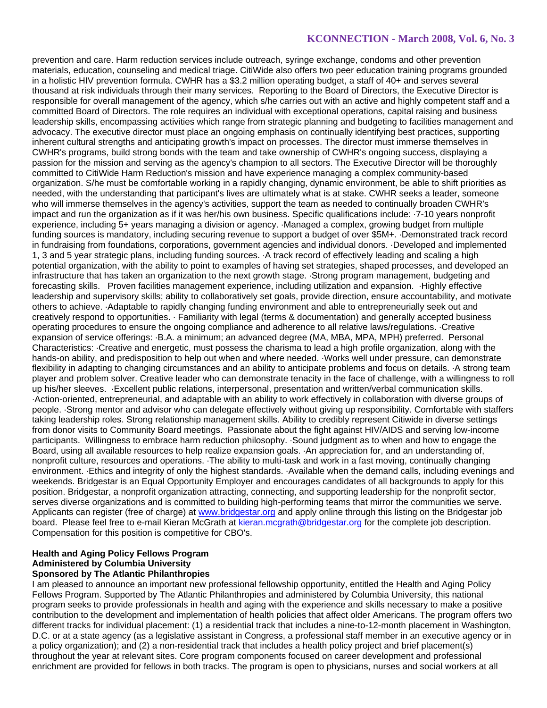prevention and care. Harm reduction services include outreach, syringe exchange, condoms and other prevention materials, education, counseling and medical triage. CitiWide also offers two peer education training programs grounded in a holistic HIV prevention formula. CWHR has a \$3.2 million operating budget, a staff of 40+ and serves several thousand at risk individuals through their many services. Reporting to the Board of Directors, the Executive Director is responsible for overall management of the agency, which s/he carries out with an active and highly competent staff and a committed Board of Directors. The role requires an individual with exceptional operations, capital raising and business leadership skills, encompassing activities which range from strategic planning and budgeting to facilities management and advocacy. The executive director must place an ongoing emphasis on continually identifying best practices, supporting inherent cultural strengths and anticipating growth's impact on processes. The director must immerse themselves in CWHR's programs, build strong bonds with the team and take ownership of CWHR's ongoing success, displaying a passion for the mission and serving as the agency's champion to all sectors. The Executive Director will be thoroughly committed to CitiWide Harm Reduction's mission and have experience managing a complex community-based organization. S/he must be comfortable working in a rapidly changing, dynamic environment, be able to shift priorities as needed, with the understanding that participant's lives are ultimately what is at stake. CWHR seeks a leader, someone who will immerse themselves in the agency's activities, support the team as needed to continually broaden CWHR's impact and run the organization as if it was her/his own business. Specific qualifications include: ·7-10 years nonprofit experience, including 5+ years managing a division or agency. ·Managed a complex, growing budget from multiple funding sources is mandatory, including securing revenue to support a budget of over \$5M+. ·Demonstrated track record in fundraising from foundations, corporations, government agencies and individual donors. ·Developed and implemented 1, 3 and 5 year strategic plans, including funding sources. ·A track record of effectively leading and scaling a high potential organization, with the ability to point to examples of having set strategies, shaped processes, and developed an infrastructure that has taken an organization to the next growth stage. ·Strong program management, budgeting and forecasting skills. Proven facilities management experience, including utilization and expansion. ·Highly effective leadership and supervisory skills; ability to collaboratively set goals, provide direction, ensure accountability, and motivate others to achieve. ·Adaptable to rapidly changing funding environment and able to entrepreneurially seek out and creatively respond to opportunities. · Familiarity with legal (terms & documentation) and generally accepted business operating procedures to ensure the ongoing compliance and adherence to all relative laws/regulations. ·Creative expansion of service offerings: ·B.A. a minimum; an advanced degree (MA, MBA, MPA, MPH) preferred. Personal Characteristics: ·Creative and energetic, must possess the charisma to lead a high profile organization, along with the hands-on ability, and predisposition to help out when and where needed. ·Works well under pressure, can demonstrate flexibility in adapting to changing circumstances and an ability to anticipate problems and focus on details. ·A strong team player and problem solver. Creative leader who can demonstrate tenacity in the face of challenge, with a willingness to roll up his/her sleeves. ·Excellent public relations, interpersonal, presentation and written/verbal communication skills. ·Action-oriented, entrepreneurial, and adaptable with an ability to work effectively in collaboration with diverse groups of people. ·Strong mentor and advisor who can delegate effectively without giving up responsibility. Comfortable with staffers taking leadership roles. Strong relationship management skills. Ability to credibly represent Citiwide in diverse settings from donor visits to Community Board meetings. Passionate about the fight against HIV/AIDS and serving low-income participants. Willingness to embrace harm reduction philosophy. ·Sound judgment as to when and how to engage the Board, using all available resources to help realize expansion goals. ·An appreciation for, and an understanding of, nonprofit culture, resources and operations. ·The ability to multi-task and work in a fast moving, continually changing environment. ·Ethics and integrity of only the highest standards. ·Available when the demand calls, including evenings and weekends. Bridgestar is an Equal Opportunity Employer and encourages candidates of all backgrounds to apply for this position. Bridgestar, a nonprofit organization attracting, connecting, and supporting leadership for the nonprofit sector, serves diverse organizations and is committed to building high-performing teams that mirror the communities we serve. Applicants can register (free of charge) at www.bridgestar.org and apply online through this listing on the Bridgestar job board. Please feel free to e-mail Kieran McGrath at kieran.mcgrath@bridgestar.org for the complete job description. Compensation for this position is competitive for CBO's.

### **Health and Aging Policy Fellows Program Administered by Columbia University Sponsored by The Atlantic Philanthropies**

I am pleased to announce an important new professional fellowship opportunity, entitled the Health and Aging Policy Fellows Program. Supported by The Atlantic Philanthropies and administered by Columbia University, this national program seeks to provide professionals in health and aging with the experience and skills necessary to make a positive contribution to the development and implementation of health policies that affect older Americans. The program offers two different tracks for individual placement: (1) a residential track that includes a nine-to-12-month placement in Washington, D.C. or at a state agency (as a legislative assistant in Congress, a professional staff member in an executive agency or in a policy organization); and (2) a non-residential track that includes a health policy project and brief placement(s) throughout the year at relevant sites. Core program components focused on career development and professional enrichment are provided for fellows in both tracks. The program is open to physicians, nurses and social workers at all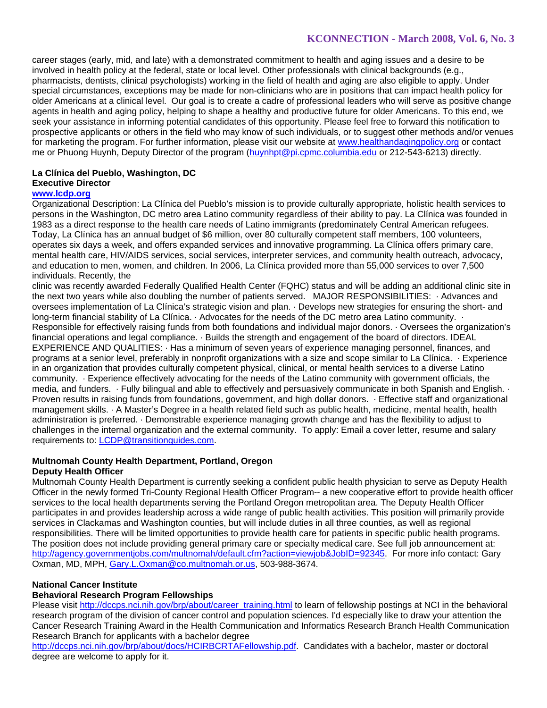career stages (early, mid, and late) with a demonstrated commitment to health and aging issues and a desire to be involved in health policy at the federal, state or local level. Other professionals with clinical backgrounds (e.g., pharmacists, dentists, clinical psychologists) working in the field of health and aging are also eligible to apply. Under special circumstances, exceptions may be made for non-clinicians who are in positions that can impact health policy for older Americans at a clinical level. Our goal is to create a cadre of professional leaders who will serve as positive change agents in health and aging policy, helping to shape a healthy and productive future for older Americans. To this end, we seek your assistance in informing potential candidates of this opportunity. Please feel free to forward this notification to prospective applicants or others in the field who may know of such individuals, or to suggest other methods and/or venues for marketing the program. For further information, please visit our website at www.healthandagingpolicy.org or contact me or Phuong Huynh, Deputy Director of the program (huynhpt@pi.cpmc.columbia.edu or 212-543-6213) directly.

## **La Clínica del Pueblo, Washington, DC Executive Director**

## **www.lcdp.org**

Organizational Description: La Clínica del Pueblo's mission is to provide culturally appropriate, holistic health services to persons in the Washington, DC metro area Latino community regardless of their ability to pay. La Clínica was founded in 1983 as a direct response to the health care needs of Latino immigrants (predominately Central American refugees. Today, La Clínica has an annual budget of \$6 million, over 80 culturally competent staff members, 100 volunteers, operates six days a week, and offers expanded services and innovative programming. La Clínica offers primary care, mental health care, HIV/AIDS services, social services, interpreter services, and community health outreach, advocacy, and education to men, women, and children. In 2006, La Clínica provided more than 55,000 services to over 7,500 individuals. Recently, the

clinic was recently awarded Federally Qualified Health Center (FQHC) status and will be adding an additional clinic site in the next two years while also doubling the number of patients served. MAJOR RESPONSIBILITIES: · Advances and oversees implementation of La Clínica's strategic vision and plan. · Develops new strategies for ensuring the short- and long-term financial stability of La Clínica. · Advocates for the needs of the DC metro area Latino community. · Responsible for effectively raising funds from both foundations and individual major donors. · Oversees the organization's financial operations and legal compliance. · Builds the strength and engagement of the board of directors. IDEAL EXPERIENCE AND QUALITIES: · Has a minimum of seven years of experience managing personnel, finances, and programs at a senior level, preferably in nonprofit organizations with a size and scope similar to La Clínica. · Experience in an organization that provides culturally competent physical, clinical, or mental health services to a diverse Latino community. · Experience effectively advocating for the needs of the Latino community with government officials, the media, and funders. · Fully bilingual and able to effectively and persuasively communicate in both Spanish and English. · Proven results in raising funds from foundations, government, and high dollar donors. · Effective staff and organizational management skills. · A Master's Degree in a health related field such as public health, medicine, mental health, health administration is preferred. · Demonstrable experience managing growth change and has the flexibility to adjust to challenges in the internal organization and the external community. To apply: Email a cover letter, resume and salary requirements to: LCDP@transitionguides.com.

## **Multnomah County Health Department, Portland, Oregon**

## **Deputy Health Officer**

Multnomah County Health Department is currently seeking a confident public health physician to serve as Deputy Health Officer in the newly formed Tri-County Regional Health Officer Program-- a new cooperative effort to provide health officer services to the local health departments serving the Portland Oregon metropolitan area. The Deputy Health Officer participates in and provides leadership across a wide range of public health activities. This position will primarily provide services in Clackamas and Washington counties, but will include duties in all three counties, as well as regional responsibilities. There will be limited opportunities to provide health care for patients in specific public health programs. The position does not include providing general primary care or specialty medical care. See full job announcement at: http://agency.governmentjobs.com/multnomah/default.cfm?action=viewjob&JobID=92345. For more info contact: Gary Oxman, MD, MPH, Gary.L.Oxman@co.multnomah.or.us, 503-988-3674.

## **National Cancer Institute**

## **Behavioral Research Program Fellowships**

Please visit http://dccps.nci.nih.gov/brp/about/career\_training.html to learn of fellowship postings at NCI in the behavioral research program of the division of cancer control and population sciences. I'd especially like to draw your attention the Cancer Research Training Award in the Health Communication and Informatics Research Branch Health Communication Research Branch for applicants with a bachelor degree

http://dccps.nci.nih.gov/brp/about/docs/HCIRBCRTAFellowship.pdf. Candidates with a bachelor, master or doctoral degree are welcome to apply for it.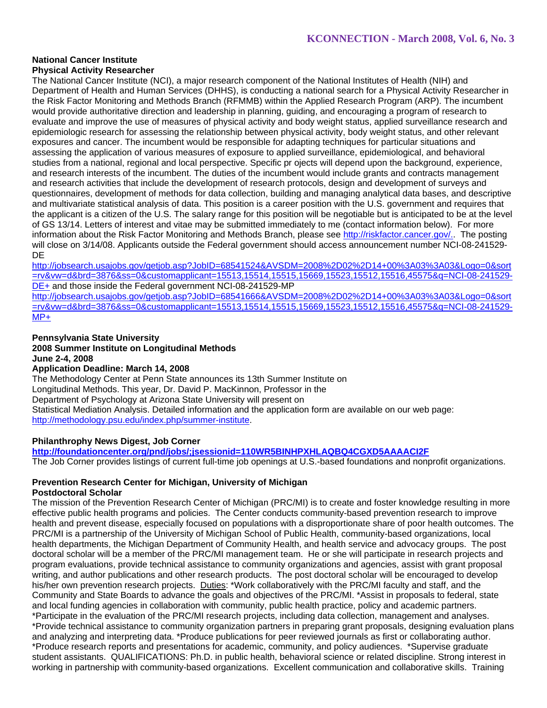### **National Cancer Institute Physical Activity Researcher**

The National Cancer Institute (NCI), a major research component of the National Institutes of Health (NIH) and Department of Health and Human Services (DHHS), is conducting a national search for a Physical Activity Researcher in the Risk Factor Monitoring and Methods Branch (RFMMB) within the Applied Research Program (ARP). The incumbent would provide authoritative direction and leadership in planning, guiding, and encouraging a program of research to evaluate and improve the use of measures of physical activity and body weight status, applied surveillance research and epidemiologic research for assessing the relationship between physical activity, body weight status, and other relevant exposures and cancer. The incumbent would be responsible for adapting techniques for particular situations and assessing the application of various measures of exposure to applied surveillance, epidemiological, and behavioral studies from a national, regional and local perspective. Specific pr ojects will depend upon the background, experience, and research interests of the incumbent. The duties of the incumbent would include grants and contracts management and research activities that include the development of research protocols, design and development of surveys and questionnaires, development of methods for data collection, building and managing analytical data bases, and descriptive and multivariate statistical analysis of data. This position is a career position with the U.S. government and requires that the applicant is a citizen of the U.S. The salary range for this position will be negotiable but is anticipated to be at the level of GS 13/14. Letters of interest and vitae may be submitted immediately to me (contact information below). For more information about the Risk Factor Monitoring and Methods Branch, please see http://riskfactor.cancer.gov/.. The posting will close on 3/14/08. Applicants outside the Federal government should access announcement number NCI-08-241529-DE

http://jobsearch.usajobs.gov/getjob.asp?JobID=68541524&AVSDM=2008%2D02%2D14+00%3A03%3A03&Logo=0&sort =rv&vw=d&brd=3876&ss=0&customapplicant=15513,15514,15515,15669,15523,15512,15516,45575&q=NCI-08-241529- DE+ and those inside the Federal government NCI-08-241529-MP

http://jobsearch.usajobs.gov/getjob.asp?JobID=68541666&AVSDM=2008%2D02%2D14+00%3A03%3A03&Logo=0&sort =rv&vw=d&brd=3876&ss=0&customapplicant=15513,15514,15515,15669,15523,15512,15516,45575&q=NCI-08-241529- MP+

## **Pennsylvania State University 2008 Summer Institute on Longitudinal Methods June 2-4, 2008**

## **Application Deadline: March 14, 2008**

The Methodology Center at Penn State announces its 13th Summer Institute on Longitudinal Methods. This year, Dr. David P. MacKinnon, Professor in the Department of Psychology at Arizona State University will present on Statistical Mediation Analysis. Detailed information and the application form are available on our web page: http://methodology.psu.edu/index.php/summer-institute.

## **Philanthrophy News Digest, Job Corner**

**http://foundationcenter.org/pnd/jobs/;jsessionid=110WR5BINHPXHLAQBQ4CGXD5AAAACI2F** The Job Corner provides listings of current full-time job openings at U.S.-based foundations and nonprofit organizations.

#### **Prevention Research Center for Michigan, University of Michigan Postdoctoral Scholar**

The mission of the Prevention Research Center of Michigan (PRC/MI) is to create and foster knowledge resulting in more effective public health programs and policies. The Center conducts community-based prevention research to improve health and prevent disease, especially focused on populations with a disproportionate share of poor health outcomes. The PRC/MI is a partnership of the University of Michigan School of Public Health, community-based organizations, local health departments, the Michigan Department of Community Health, and health service and advocacy groups. The post doctoral scholar will be a member of the PRC/MI management team. He or she will participate in research projects and program evaluations, provide technical assistance to community organizations and agencies, assist with grant proposal writing, and author publications and other research products. The post doctoral scholar will be encouraged to develop his/her own prevention research projects. Duties: \*Work collaboratively with the PRC/MI faculty and staff, and the Community and State Boards to advance the goals and objectives of the PRC/MI. \*Assist in proposals to federal, state and local funding agencies in collaboration with community, public health practice, policy and academic partners. \*Participate in the evaluation of the PRC/MI research projects, including data collection, management and analyses. \*Provide technical assistance to community organization partners in preparing grant proposals, designing evaluation plans and analyzing and interpreting data. \*Produce publications for peer reviewed journals as first or collaborating author. \*Produce research reports and presentations for academic, community, and policy audiences. \*Supervise graduate student assistants. QUALIFICATIONS: Ph.D. in public health, behavioral science or related discipline. Strong interest in working in partnership with community-based organizations. Excellent communication and collaborative skills. Training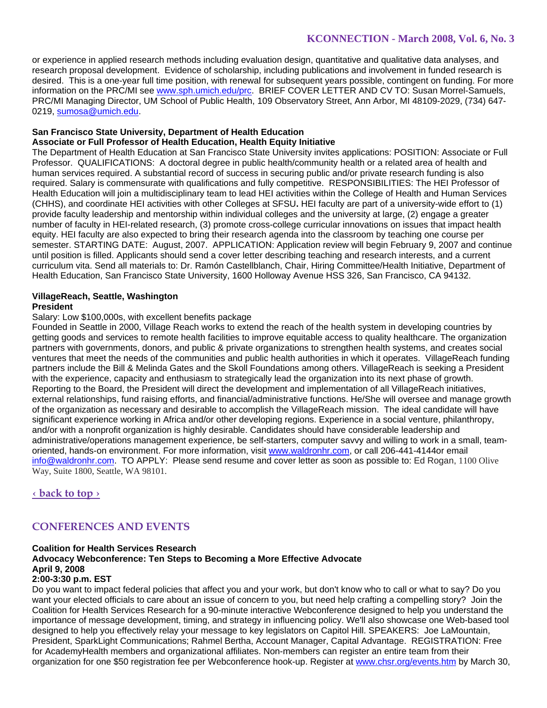or experience in applied research methods including evaluation design, quantitative and qualitative data analyses, and research proposal development. Evidence of scholarship, including publications and involvement in funded research is desired. This is a one-year full time position, with renewal for subsequent years possible, contingent on funding. For more information on the PRC/MI see www.sph.umich.edu/prc. BRIEF COVER LETTER AND CV TO: Susan Morrel-Samuels, PRC/MI Managing Director, UM School of Public Health, 109 Observatory Street, Ann Arbor, MI 48109-2029, (734) 647- 0219, sumosa@umich.edu.

#### **San Francisco State University, Department of Health Education Associate or Full Professor of Health Education, Health Equity Initiative**

The Department of Health Education at San Francisco State University invites applications: POSITION: Associate or Full Professor. QUALIFICATIONS: A doctoral degree in public health/community health or a related area of health and human services required. A substantial record of success in securing public and/or private research funding is also required. Salary is commensurate with qualifications and fully competitive. RESPONSIBILITIES: The HEI Professor of Health Education will join a multidisciplinary team to lead HEI activities within the College of Health and Human Services (CHHS), and coordinate HEI activities with other Colleges at SFSU**.** HEI faculty are part of a university-wide effort to (1) provide faculty leadership and mentorship within individual colleges and the university at large, (2) engage a greater number of faculty in HEI-related research, (3) promote cross-college curricular innovations on issues that impact health equity. HEI faculty are also expected to bring their research agenda into the classroom by teaching one course per semester. STARTING DATE: August, 2007. APPLICATION: Application review will begin February 9, 2007 and continue until position is filled. Applicants should send a cover letter describing teaching and research interests, and a current curriculum vita. Send all materials to: Dr. Ramón Castellblanch, Chair, Hiring Committee/Health Initiative, Department of Health Education, San Francisco State University, 1600 Holloway Avenue HSS 326, San Francisco, CA 94132.

# **VillageReach, Seattle, Washington**

## **President**

## Salary: Low \$100,000s, with excellent benefits package

Founded in Seattle in 2000, Village Reach works to extend the reach of the health system in developing countries by getting goods and services to remote health facilities to improve equitable access to quality healthcare. The organization partners with governments, donors, and public & private organizations to strengthen health systems, and creates social ventures that meet the needs of the communities and public health authorities in which it operates. VillageReach funding partners include the Bill & Melinda Gates and the Skoll Foundations among others. VillageReach is seeking a President with the experience, capacity and enthusiasm to strategically lead the organization into its next phase of growth. Reporting to the Board, the President will direct the development and implementation of all VillageReach initiatives, external relationships, fund raising efforts, and financial/administrative functions. He/She will oversee and manage growth of the organization as necessary and desirable to accomplish the VillageReach mission. The ideal candidate will have significant experience working in Africa and/or other developing regions. Experience in a social venture, philanthropy, and/or with a nonprofit organization is highly desirable. Candidates should have considerable leadership and administrative/operations management experience, be self-starters, computer savvy and willing to work in a small, teamoriented, hands-on environment. For more information, visit www.waldronhr.com, or call 206-441-4144or email info@waldronhr.com. TO APPLY: Please send resume and cover letter as soon as possible to: Ed Rogan, 1100 Olive Way, Suite 1800, Seattle, WA 98101.

**‹ back to top ›**

# **CONFERENCES AND EVENTS**

#### **Coalition for Health Services Research Advocacy Webconference: Ten Steps to Becoming a More Effective Advocate April 9, 2008 2:00-3:30 p.m. EST**

Do you want to impact federal policies that affect you and your work, but don't know who to call or what to say? Do you want your elected officials to care about an issue of concern to you, but need help crafting a compelling story? Join the Coalition for Health Services Research for a 90-minute interactive Webconference designed to help you understand the importance of message development, timing, and strategy in influencing policy. We'll also showcase one Web-based tool designed to help you effectively relay your message to key legislators on Capitol Hill. SPEAKERS: Joe LaMountain, President, SparkLight Communications; Rahmel Bertha, Account Manager, Capital Advantage. REGISTRATION: Free for AcademyHealth members and organizational affiliates. Non-members can register an entire team from their organization for one \$50 registration fee per Webconference hook-up. Register at www.chsr.org/events.htm by March 30,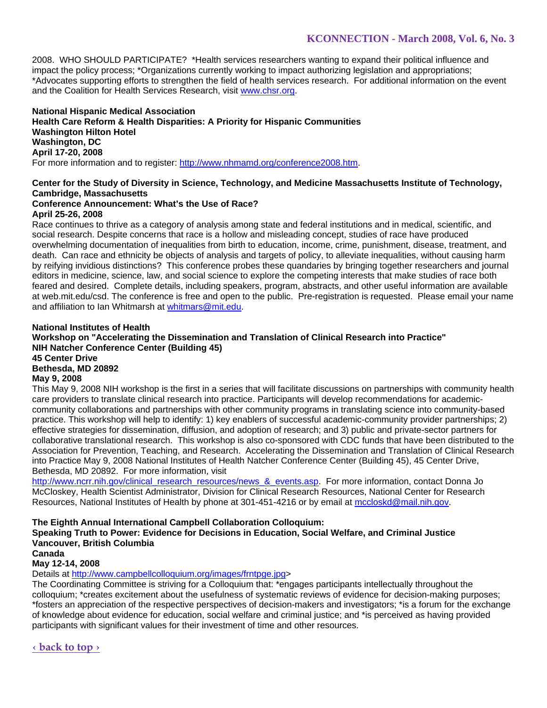2008. WHO SHOULD PARTICIPATE? \*Health services researchers wanting to expand their political influence and impact the policy process; \*Organizations currently working to impact authorizing legislation and appropriations; \*Advocates supporting efforts to strengthen the field of health services research. For additional information on the event and the Coalition for Health Services Research, visit www.chsr.org.

**National Hispanic Medical Association Health Care Reform & Health Disparities: A Priority for Hispanic Communities Washington Hilton Hotel Washington, DC April 17-20, 2008**  For more information and to register: http://www.nhmamd.org/conference2008.htm.

# **Center for the Study of Diversity in Science, Technology, and Medicine Massachusetts Institute of Technology, Cambridge, Massachusetts**

### **Conference Announcement: What's the Use of Race? April 25-26, 2008**

Race continues to thrive as a category of analysis among state and federal institutions and in medical, scientific, and social research. Despite concerns that race is a hollow and misleading concept, studies of race have produced overwhelming documentation of inequalities from birth to education, income, crime, punishment, disease, treatment, and death. Can race and ethnicity be objects of analysis and targets of policy, to alleviate inequalities, without causing harm by reifying invidious distinctions? This conference probes these quandaries by bringing together researchers and journal editors in medicine, science, law, and social science to explore the competing interests that make studies of race both feared and desired. Complete details, including speakers, program, abstracts, and other useful information are available at web.mit.edu/csd. The conference is free and open to the public. Pre-registration is requested. Please email your name and affiliation to Ian Whitmarsh at whitmars@mit.edu.

## **National Institutes of Health Workshop on "Accelerating the Dissemination and Translation of Clinical Research into Practice" NIH Natcher Conference Center (Building 45) 45 Center Drive Bethesda, MD 20892 May 9, 2008**  This May 9, 2008 NIH workshop is the first in a series that will facilitate discussions on partnerships with community health

care providers to translate clinical research into practice. Participants will develop recommendations for academiccommunity collaborations and partnerships with other community programs in translating science into community-based practice. This workshop will help to identify: 1) key enablers of successful academic-community provider partnerships; 2) effective strategies for dissemination, diffusion, and adoption of research; and 3) public and private-sector partners for collaborative translational research. This workshop is also co-sponsored with CDC funds that have been distributed to the Association for Prevention, Teaching, and Research. Accelerating the Dissemination and Translation of Clinical Research into Practice May 9, 2008 National Institutes of Health Natcher Conference Center (Building 45), 45 Center Drive, Bethesda, MD 20892. For more information, visit

http://www.ncrr.nih.gov/clinical\_research\_resources/news\_&\_events.asp. For more information, contact Donna Jo McCloskey, Health Scientist Administrator, Division for Clinical Research Resources, National Center for Research Resources, National Institutes of Health by phone at 301-451-4216 or by email at mccloskd@mail.nih.gov.

## **The Eighth Annual International Campbell Collaboration Colloquium:**

### **Speaking Truth to Power: Evidence for Decisions in Education, Social Welfare, and Criminal Justice Vancouver, British Columbia**

**Canada** 

## **May 12-14, 2008**

Details at http://www.campbellcolloquium.org/images/frntpge.jpg>

The Coordinating Committee is striving for a Colloquium that: \*engages participants intellectually throughout the colloquium; \*creates excitement about the usefulness of systematic reviews of evidence for decision-making purposes; \*fosters an appreciation of the respective perspectives of decision-makers and investigators; \*is a forum for the exchange of knowledge about evidence for education, social welfare and criminal justice; and \*is perceived as having provided participants with significant values for their investment of time and other resources.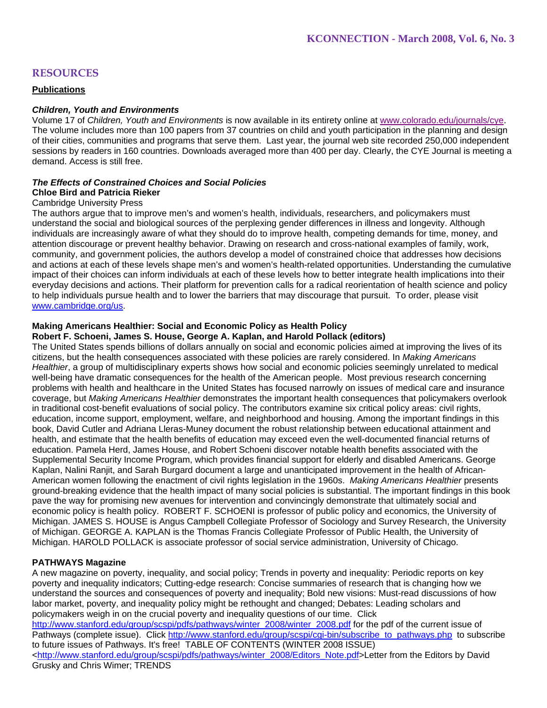# **RESOURCES**

## **Publications**

## *Children, Youth and Environments*

Volume 17 of *Children, Youth and Environments* is now available in its entirety online at www.colorado.edu/journals/cye. The volume includes more than 100 papers from 37 countries on child and youth participation in the planning and design of their cities, communities and programs that serve them. Last year, the journal web site recorded 250,000 independent sessions by readers in 160 countries. Downloads averaged more than 400 per day. Clearly, the CYE Journal is meeting a demand. Access is still free.

#### *The Effects of Constrained Choices and Social Policies*  **Chloe Bird and Patricia Rieker**

### Cambridge University Press

The authors argue that to improve men's and women's health, individuals, researchers, and policymakers must understand the social and biological sources of the perplexing gender differences in illness and longevity. Although individuals are increasingly aware of what they should do to improve health, competing demands for time, money, and attention discourage or prevent healthy behavior. Drawing on research and cross-national examples of family, work, community, and government policies, the authors develop a model of constrained choice that addresses how decisions and actions at each of these levels shape men's and women's health-related opportunities. Understanding the cumulative impact of their choices can inform individuals at each of these levels how to better integrate health implications into their everyday decisions and actions. Their platform for prevention calls for a radical reorientation of health science and policy to help individuals pursue health and to lower the barriers that may discourage that pursuit. To order, please visit www.cambridge.org/us.

## **Making Americans Healthier: Social and Economic Policy as Health Policy**

#### **Robert F. Schoeni, James S. House, George A. Kaplan, and Harold Pollack (editors)**

The United States spends billions of dollars annually on social and economic policies aimed at improving the lives of its citizens, but the health consequences associated with these policies are rarely considered. In *Making Americans Healthier*, a group of multidisciplinary experts shows how social and economic policies seemingly unrelated to medical well-being have dramatic consequences for the health of the American people. Most previous research concerning problems with health and healthcare in the United States has focused narrowly on issues of medical care and insurance coverage, but *Making Americans Healthier* demonstrates the important health consequences that policymakers overlook in traditional cost-benefit evaluations of social policy. The contributors examine six critical policy areas: civil rights, education, income support, employment, welfare, and neighborhood and housing. Among the important findings in this book, David Cutler and Adriana Lleras-Muney document the robust relationship between educational attainment and health, and estimate that the health benefits of education may exceed even the well-documented financial returns of education. Pamela Herd, James House, and Robert Schoeni discover notable health benefits associated with the Supplemental Security Income Program, which provides financial support for elderly and disabled Americans. George Kaplan, Nalini Ranjit, and Sarah Burgard document a large and unanticipated improvement in the health of African-American women following the enactment of civil rights legislation in the 1960s. *Making Americans Healthier* presents ground-breaking evidence that the health impact of many social policies is substantial. The important findings in this book pave the way for promising new avenues for intervention and convincingly demonstrate that ultimately social and economic policy is health policy. ROBERT F. SCHOENI is professor of public policy and economics, the University of Michigan. JAMES S. HOUSE is Angus Campbell Collegiate Professor of Sociology and Survey Research, the University of Michigan. GEORGE A. KAPLAN is the Thomas Francis Collegiate Professor of Public Health, the University of Michigan. HAROLD POLLACK is associate professor of social service administration, University of Chicago.

### **PATHWAYS Magazine**

A new magazine on poverty, inequality, and social policy; Trends in poverty and inequality: Periodic reports on key poverty and inequality indicators; Cutting-edge research: Concise summaries of research that is changing how we understand the sources and consequences of poverty and inequality; Bold new visions: Must-read discussions of how labor market, poverty, and inequality policy might be rethought and changed; Debates: Leading scholars and policymakers weigh in on the crucial poverty and inequality questions of our time. Click

http://www.stanford.edu/group/scspi/pdfs/pathways/winter\_2008/winter\_2008.pdf for the pdf of the current issue of Pathways (complete issue). Click http://www.stanford.edu/group/scspi/cgi-bin/subscribe\_to\_pathways.php to subscribe to future issues of Pathways. It's free! TABLE OF CONTENTS (WINTER 2008 ISSUE) <http://www.stanford.edu/group/scspi/pdfs/pathways/winter\_2008/Editors\_Note.pdf>Letter from the Editors by David Grusky and Chris Wimer; TRENDS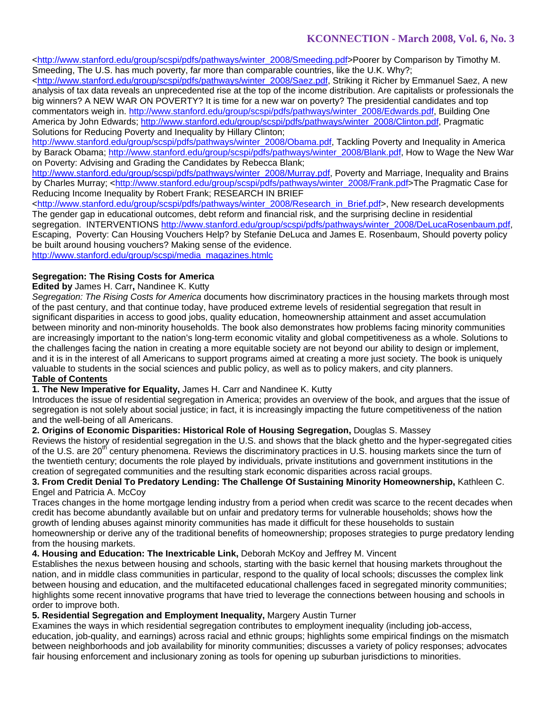<http://www.stanford.edu/group/scspi/pdfs/pathways/winter\_2008/Smeeding.pdf>Poorer by Comparison by Timothy M. Smeeding, The U.S. has much poverty, far more than comparable countries, like the U.K. Why?;

<http://www.stanford.edu/group/scspi/pdfs/pathways/winter\_2008/Saez.pdf, Striking it Richer by Emmanuel Saez, A new analysis of tax data reveals an unprecedented rise at the top of the income distribution. Are capitalists or professionals the big winners? A NEW WAR ON POVERTY? It is time for a new war on poverty? The presidential candidates and top commentators weigh in. http://www.stanford.edu/group/scspi/pdfs/pathways/winter\_2008/Edwards.pdf, Building One America by John Edwards; http://www.stanford.edu/group/scspi/pdfs/pathways/winter\_2008/Clinton.pdf, Pragmatic Solutions for Reducing Poverty and Inequality by Hillary Clinton;

http://www.stanford.edu/group/scspi/pdfs/pathways/winter\_2008/Obama.pdf, Tackling Poverty and Inequality in America by Barack Obama; http://www.stanford.edu/group/scspi/pdfs/pathways/winter\_2008/Blank.pdf, How to Wage the New War on Poverty: Advising and Grading the Candidates by Rebecca Blank;

http://www.stanford.edu/group/scspi/pdfs/pathways/winter\_2008/Murray.pdf, Poverty and Marriage, Inequality and Brains by Charles Murray; <http://www.stanford.edu/group/scspi/pdfs/pathways/winter\_2008/Frank.pdf>The Pragmatic Case for Reducing Income Inequality by Robert Frank; RESEARCH IN BRIEF

<http://www.stanford.edu/group/scspi/pdfs/pathways/winter\_2008/Research\_in\_Brief.pdf>, New research developments The gender gap in educational outcomes, debt reform and financial risk, and the surprising decline in residential segregation. INTERVENTIONS http://www.stanford.edu/group/scspi/pdfs/pathways/winter\_2008/DeLucaRosenbaum.pdf, Escaping, Poverty: Can Housing Vouchers Help? by Stefanie DeLuca and James E. Rosenbaum, Should poverty policy be built around housing vouchers? Making sense of the evidence. http://www.stanford.edu/group/scspi/media\_magazines.htmlc

## **Segregation: The Rising Costs for America**

## **Edited by** James H. Carr**,** Nandinee K. Kutty

*Segregation: The Rising Costs for America* documents how discriminatory practices in the housing markets through most of the past century, and that continue today, have produced extreme levels of residential segregation that result in significant disparities in access to good jobs, quality education, homeownership attainment and asset accumulation between minority and non-minority households. The book also demonstrates how problems facing minority communities are increasingly important to the nation's long-term economic vitality and global competitiveness as a whole. Solutions to the challenges facing the nation in creating a more equitable society are not beyond our ability to design or implement, and it is in the interest of all Americans to support programs aimed at creating a more just society. The book is uniquely valuable to students in the social sciences and public policy, as well as to policy makers, and city planners.

# **Table of Contents**

## **1. The New Imperative for Equality,** James H. Carr and Nandinee K. Kutty

Introduces the issue of residential segregation in America; provides an overview of the book, and argues that the issue of segregation is not solely about social justice; in fact, it is increasingly impacting the future competitiveness of the nation and the well-being of all Americans.

**2. Origins of Economic Disparities: Historical Role of Housing Segregation,** Douglas S. Massey

Reviews the history of residential segregation in the U.S. and shows that the black ghetto and the hyper-segregated cities of the U.S. are 20<sup>th</sup> century phenomena. Reviews the discriminatory practices in U.S. housing markets since the turn of the twentieth century; documents the role played by individuals, private institutions and government institutions in the creation of segregated communities and the resulting stark economic disparities across racial groups.

## **3. From Credit Denial To Predatory Lending: The Challenge Of Sustaining Minority Homeownership,** Kathleen C. Engel and Patricia A. McCoy

Traces changes in the home mortgage lending industry from a period when credit was scarce to the recent decades when credit has become abundantly available but on unfair and predatory terms for vulnerable households; shows how the growth of lending abuses against minority communities has made it difficult for these households to sustain homeownership or derive any of the traditional benefits of homeownership; proposes strategies to purge predatory lending from the housing markets.

## **4. Housing and Education: The Inextricable Link,** Deborah McKoy and Jeffrey M. Vincent

Establishes the nexus between housing and schools, starting with the basic kernel that housing markets throughout the nation, and in middle class communities in particular, respond to the quality of local schools; discusses the complex link between housing and education, and the multifaceted educational challenges faced in segregated minority communities; highlights some recent innovative programs that have tried to leverage the connections between housing and schools in order to improve both.

## **5. Residential Segregation and Employment Inequality,** Margery Austin Turner

Examines the ways in which residential segregation contributes to employment inequality (including job-access, education, job-quality, and earnings) across racial and ethnic groups; highlights some empirical findings on the mismatch between neighborhoods and job availability for minority communities; discusses a variety of policy responses; advocates fair housing enforcement and inclusionary zoning as tools for opening up suburban jurisdictions to minorities.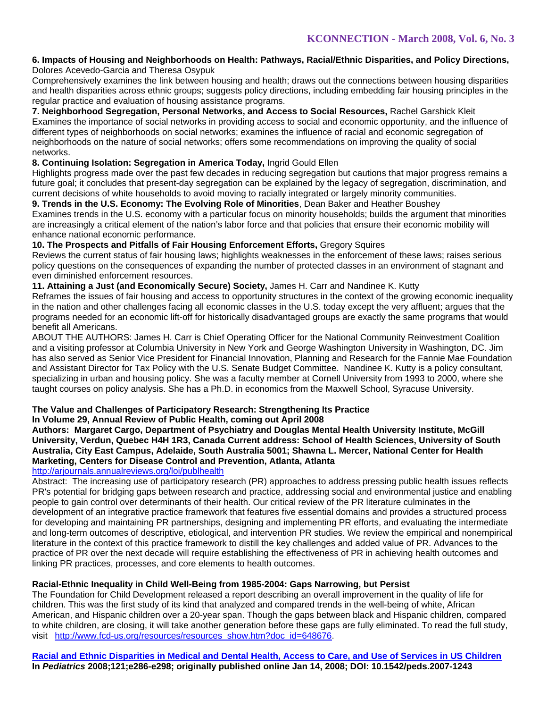#### **6. Impacts of Housing and Neighborhoods on Health: Pathways, Racial/Ethnic Disparities, and Policy Directions,**  Dolores Acevedo-Garcia and Theresa Osypuk

Comprehensively examines the link between housing and health; draws out the connections between housing disparities and health disparities across ethnic groups; suggests policy directions, including embedding fair housing principles in the regular practice and evaluation of housing assistance programs.

**7. Neighborhood Segregation, Personal Networks, and Access to Social Resources,** Rachel Garshick Kleit Examines the importance of social networks in providing access to social and economic opportunity, and the influence of different types of neighborhoods on social networks; examines the influence of racial and economic segregation of neighborhoods on the nature of social networks; offers some recommendations on improving the quality of social networks.

## **8. Continuing Isolation: Segregation in America Today,** Ingrid Gould Ellen

Highlights progress made over the past few decades in reducing segregation but cautions that major progress remains a future goal; it concludes that present-day segregation can be explained by the legacy of segregation, discrimination, and current decisions of white households to avoid moving to racially integrated or largely minority communities.

## **9. Trends in the U.S. Economy: The Evolving Role of Minorities**, Dean Baker and Heather Boushey

Examines trends in the U.S. economy with a particular focus on minority households; builds the argument that minorities are increasingly a critical element of the nation's labor force and that policies that ensure their economic mobility will enhance national economic performance.

## **10. The Prospects and Pitfalls of Fair Housing Enforcement Efforts,** Gregory Squires

Reviews the current status of fair housing laws; highlights weaknesses in the enforcement of these laws; raises serious policy questions on the consequences of expanding the number of protected classes in an environment of stagnant and even diminished enforcement resources.

## **11. Attaining a Just (and Economically Secure) Society,** James H. Carr and Nandinee K. Kutty

Reframes the issues of fair housing and access to opportunity structures in the context of the growing economic inequality in the nation and other challenges facing all economic classes in the U.S. today except the very affluent; argues that the programs needed for an economic lift-off for historically disadvantaged groups are exactly the same programs that would benefit all Americans.

ABOUT THE AUTHORS: James H. Carr is Chief Operating Officer for the National Community Reinvestment Coalition and a visiting professor at Columbia University in New York and George Washington University in Washington, DC. Jim has also served as Senior Vice President for Financial Innovation, Planning and Research for the Fannie Mae Foundation and Assistant Director for Tax Policy with the U.S. Senate Budget Committee. Nandinee K. Kutty is a policy consultant, specializing in urban and housing policy. She was a faculty member at Cornell University from 1993 to 2000, where she taught courses on policy analysis. She has a Ph.D. in economics from the Maxwell School, Syracuse University.

# **The Value and Challenges of Participatory Research: Strengthening Its Practice**

## **In Volume 29, Annual Review of Public Health, coming out April 2008**

**Authors: Margaret Cargo, Department of Psychiatry and Douglas Mental Health University Institute, McGill University, Verdun, Quebec H4H 1R3, Canada Current address: School of Health Sciences, University of South Australia, City East Campus, Adelaide, South Australia 5001; Shawna L. Mercer, National Center for Health Marketing, Centers for Disease Control and Prevention, Atlanta, Atlanta** 

## http://arjournals.annualreviews.org/loi/publhealth

Abstract: The increasing use of participatory research (PR) approaches to address pressing public health issues reflects PR's potential for bridging gaps between research and practice, addressing social and environmental justice and enabling people to gain control over determinants of their health. Our critical review of the PR literature culminates in the development of an integrative practice framework that features five essential domains and provides a structured process for developing and maintaining PR partnerships, designing and implementing PR efforts, and evaluating the intermediate and long-term outcomes of descriptive, etiological, and intervention PR studies. We review the empirical and nonempirical literature in the context of this practice framework to distill the key challenges and added value of PR. Advances to the practice of PR over the next decade will require establishing the effectiveness of PR in achieving health outcomes and linking PR practices, processes, and core elements to health outcomes.

## **Racial-Ethnic Inequality in Child Well-Being from 1985-2004: Gaps Narrowing, but Persist**

The Foundation for Child Development released a report describing an overall improvement in the quality of life for children. This was the first study of its kind that analyzed and compared trends in the well-being of white, African American, and Hispanic children over a 20-year span. Though the gaps between black and Hispanic children, compared to white children, are closing, it will take another generation before these gaps are fully eliminated. To read the full study, visit http://www.fcd-us.org/resources/resources\_show.htm?doc\_id=648676.

**Racial and Ethnic Disparities in Medical and Dental Health, Access to Care, and Use of Services in US Children In** *Pediatrics* **2008;121;e286-e298; originally published online Jan 14, 2008; DOI: 10.1542/peds.2007-1243**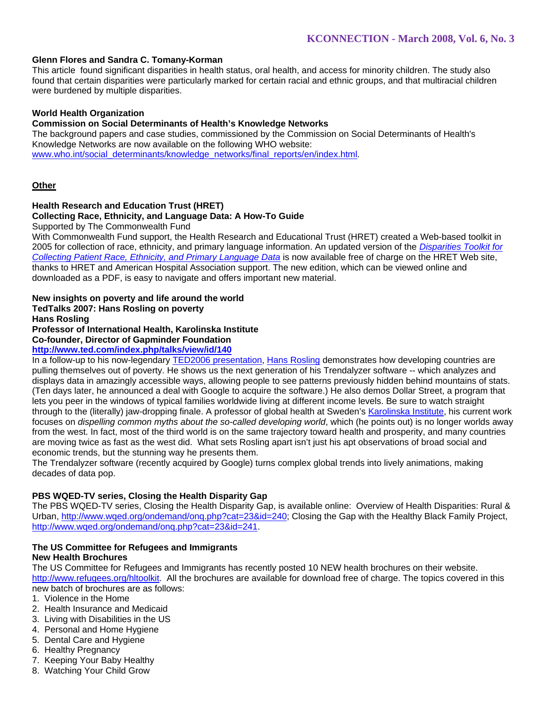### **Glenn Flores and Sandra C. Tomany-Korman**

This article found significant disparities in health status, oral health, and access for minority children. The study also found that certain disparities were particularly marked for certain racial and ethnic groups, and that multiracial children were burdened by multiple disparities.

### **World Health Organization**

### **Commission on Social Determinants of Health's Knowledge Networks**

The background papers and case studies, commissioned by the Commission on Social Determinants of Health's Knowledge Networks are now available on the following WHO website: www.who.int/social\_determinants/knowledge\_networks/final\_reports/en/index.html.

### **Other**

## **Health Research and Education Trust (HRET)**

## **Collecting Race, Ethnicity, and Language Data: A How-To Guide**

Supported by The Commonwealth Fund

With Commonwealth Fund support, the Health Research and Educational Trust (HRET) created a Web-based toolkit in 2005 for collection of race, ethnicity, and primary language information. An updated version of the *Disparities Toolkit for Collecting Patient Race, Ethnicity, and Primary Language Data* is now available free of charge on the HRET Web site, thanks to HRET and American Hospital Association support. The new edition, which can be viewed online and downloaded as a PDF, is easy to navigate and offers important new material.

## **New insights on poverty and life around the world**

## **TedTalks 2007: Hans Rosling on poverty**

**Hans Rosling**

### **Professor of International Health, Karolinska Institute**

**Co-founder, Director of Gapminder Foundation** 

## **http://www.ted.com/index.php/talks/view/id/140**

In a follow-up to his now-legendary TED2006 presentation, Hans Rosling demonstrates how developing countries are pulling themselves out of poverty. He shows us the next generation of his Trendalyzer software -- which analyzes and displays data in amazingly accessible ways, allowing people to see patterns previously hidden behind mountains of stats. (Ten days later, he announced a deal with Google to acquire the software.) He also demos Dollar Street, a program that lets you peer in the windows of typical families worldwide living at different income levels. Be sure to watch straight through to the (literally) jaw-dropping finale. A professor of global health at Sweden's Karolinska Institute, his current work focuses on *dispelling common myths about the so-called developing world*, which (he points out) is no longer worlds away from the west. In fact, most of the third world is on the same trajectory toward health and prosperity, and many countries are moving twice as fast as the west did. What sets Rosling apart isn't just his apt observations of broad social and economic trends, but the stunning way he presents them.

The Trendalyzer software (recently acquired by Google) turns complex global trends into lively animations, making decades of data pop.

### **PBS WQED-TV series, Closing the Health Disparity Gap**

The PBS WQED-TV series, Closing the Health Disparity Gap, is available online: Overview of Health Disparities: Rural & Urban, http://www.wqed.org/ondemand/onq.php?cat=23&id=240; Closing the Gap with the Healthy Black Family Project, http://www.wqed.org/ondemand/onq.php?cat=23&id=241.

# **The US Committee for Refugees and Immigrants**

## **New Health Brochures**

The US Committee for Refugees and Immigrants has recently posted 10 NEW health brochures on their website. http://www.refugees.org/hltoolkit. All the brochures are available for download free of charge. The topics covered in this new batch of brochures are as follows:

1. Violence in the Home

- 2. Health Insurance and Medicaid
- 3. Living with Disabilities in the US
- 4. Personal and Home Hygiene
- 5. Dental Care and Hygiene
- 6. Healthy Pregnancy
- 7. Keeping Your Baby Healthy
- 8. Watching Your Child Grow